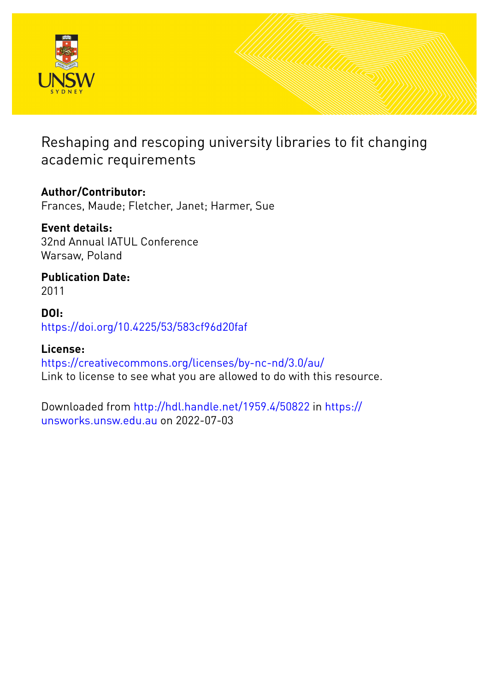

Reshaping and rescoping university libraries to fit changing academic requirements

# **Author/Contributor:**

Frances, Maude; Fletcher, Janet; Harmer, Sue

# **Event details:**

32nd Annual IATUL Conference Warsaw, Poland

**Publication Date:** 2011

# **DOI:** [https://doi.org/10.4225/53/583cf96d20faf](http://dx.doi.org/https://doi.org/10.4225/53/583cf96d20faf)

# **License:**

<https://creativecommons.org/licenses/by-nc-nd/3.0/au/> Link to license to see what you are allowed to do with this resource.

Downloaded from <http://hdl.handle.net/1959.4/50822> in [https://](https://unsworks.unsw.edu.au) [unsworks.unsw.edu.au](https://unsworks.unsw.edu.au) on 2022-07-03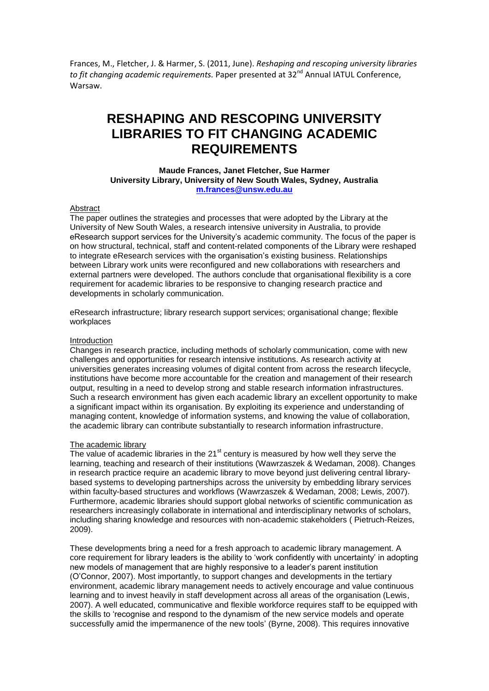Frances, M., Fletcher, J. & Harmer, S. (2011, June). *Reshaping and rescoping university libraries*  to fit changing academic requirements. Paper presented at 32<sup>nd</sup> Annual IATUL Conference, Warsaw.

# **RESHAPING AND RESCOPING UNIVERSITY LIBRARIES TO FIT CHANGING ACADEMIC REQUIREMENTS**

**Maude Frances, Janet Fletcher, Sue Harmer University Library, University of New South Wales, Sydney, Australia [m.frances@unsw.edu.au](mailto:m.frances@unsw.edu.au)**

## Abstract

The paper outlines the strategies and processes that were adopted by the Library at the University of New South Wales, a research intensive university in Australia, to provide eResearch support services for the University"s academic community. The focus of the paper is on how structural, technical, staff and content-related components of the Library were reshaped to integrate eResearch services with the organisation"s existing business. Relationships between Library work units were reconfigured and new collaborations with researchers and external partners were developed. The authors conclude that organisational flexibility is a core requirement for academic libraries to be responsive to changing research practice and developments in scholarly communication.

eResearch infrastructure; library research support services; organisational change; flexible workplaces

### Introduction

Changes in research practice, including methods of scholarly communication, come with new challenges and opportunities for research intensive institutions. As research activity at universities generates increasing volumes of digital content from across the research lifecycle, institutions have become more accountable for the creation and management of their research output, resulting in a need to develop strong and stable research information infrastructures. Such a research environment has given each academic library an excellent opportunity to make a significant impact within its organisation. By exploiting its experience and understanding of managing content, knowledge of information systems, and knowing the value of collaboration, the academic library can contribute substantially to research information infrastructure.

## The academic library

The value of academic libraries in the 21 $^{\text{st}}$  century is measured by how well they serve the learning, teaching and research of their institutions (Wawrzaszek & Wedaman, 2008). Changes in research practice require an academic library to move beyond just delivering central librarybased systems to developing partnerships across the university by embedding library services within faculty-based structures and workflows (Wawrzaszek & Wedaman, 2008; Lewis, 2007). Furthermore, academic libraries should support global networks of scientific communication as researchers increasingly collaborate in international and interdisciplinary networks of scholars, including sharing knowledge and resources with non-academic stakeholders ( Pietruch-Reizes, 2009).

These developments bring a need for a fresh approach to academic library management. A core requirement for library leaders is the ability to "work confidently with uncertainty" in adopting new models of management that are highly responsive to a leader"s parent institution (O"Connor, 2007). Most importantly, to support changes and developments in the tertiary environment, academic library management needs to actively encourage and value continuous learning and to invest heavily in staff development across all areas of the organisation (Lewis, 2007). A well educated, communicative and flexible workforce requires staff to be equipped with the skills to "recognise and respond to the dynamism of the new service models and operate successfully amid the impermanence of the new tools" (Byrne, 2008). This requires innovative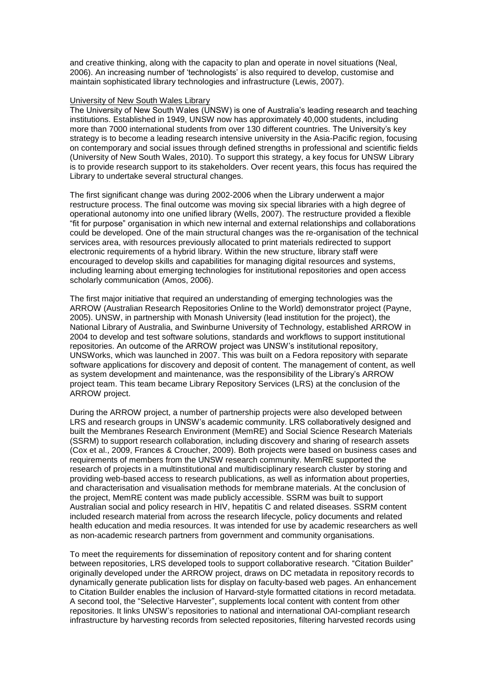and creative thinking, along with the capacity to plan and operate in novel situations (Neal, 2006). An increasing number of "technologists" is also required to develop, customise and maintain sophisticated library technologies and infrastructure (Lewis, 2007).

### University of New South Wales Library

The University of New South Wales (UNSW) is one of Australia"s leading research and teaching institutions. Established in 1949, UNSW now has approximately 40,000 students, including more than 7000 international students from over 130 different countries. The University"s key strategy is to become a leading research intensive university in the Asia-Pacific region, focusing on contemporary and social issues through defined strengths in professional and scientific fields (University of New South Wales, 2010). To support this strategy, a key focus for UNSW Library is to provide research support to its stakeholders. Over recent years, this focus has required the Library to undertake several structural changes.

The first significant change was during 2002-2006 when the Library underwent a major restructure process. The final outcome was moving six special libraries with a high degree of operational autonomy into one unified library (Wells, 2007). The restructure provided a flexible "fit for purpose" organisation in which new internal and external relationships and collaborations could be developed. One of the main structural changes was the re-organisation of the technical services area, with resources previously allocated to print materials redirected to support electronic requirements of a hybrid library. Within the new structure, library staff were encouraged to develop skills and capabilities for managing digital resources and systems, including learning about emerging technologies for institutional repositories and open access scholarly communication (Amos, 2006).

The first major initiative that required an understanding of emerging technologies was the ARROW (Australian Research Repositories Online to the World) demonstrator project (Payne, 2005). UNSW, in partnership with Monash University (lead institution for the project), the National Library of Australia, and Swinburne University of Technology, established ARROW in 2004 to develop and test software solutions, standards and workflows to support institutional repositories. An outcome of the ARROW project was UNSW"s institutional repository, UNSWorks, which was launched in 2007. This was built on a Fedora repository with separate software applications for discovery and deposit of content. The management of content, as well as system development and maintenance, was the responsibility of the Library"s ARROW project team. This team became Library Repository Services (LRS) at the conclusion of the ARROW project.

During the ARROW project, a number of partnership projects were also developed between LRS and research groups in UNSW"s academic community. LRS collaboratively designed and built the Membranes Research Environment (MemRE) and Social Science Research Materials (SSRM) to support research collaboration, including discovery and sharing of research assets (Cox et al., 2009, Frances & Croucher, 2009). Both projects were based on business cases and requirements of members from the UNSW research community. MemRE supported the research of projects in a multinstitutional and multidisciplinary research cluster by storing and providing web-based access to research publications, as well as information about properties, and characterisation and visualisation methods for membrane materials. At the conclusion of the project, MemRE content was made publicly accessible. SSRM was built to support Australian social and policy research in HIV, hepatitis C and related diseases. SSRM content included research material from across the research lifecycle, policy documents and related health education and media resources. It was intended for use by academic researchers as well as non-academic research partners from government and community organisations.

To meet the requirements for dissemination of repository content and for sharing content between repositories, LRS developed tools to support collaborative research. "Citation Builder" originally developed under the ARROW project, draws on DC metadata in repository records to dynamically generate publication lists for display on faculty-based web pages. An enhancement to Citation Builder enables the inclusion of Harvard-style formatted citations in record metadata. A second tool, the "Selective Harvester", supplements local content with content from other repositories. It links UNSW"s repositories to national and international OAI-compliant research infrastructure by harvesting records from selected repositories, filtering harvested records using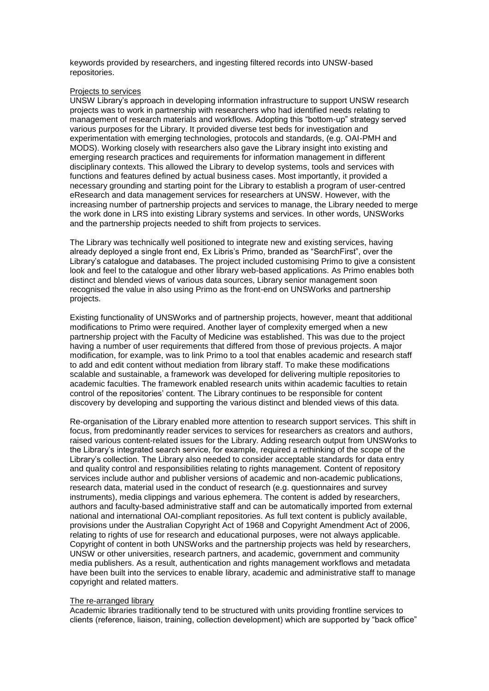keywords provided by researchers, and ingesting filtered records into UNSW-based repositories.

### Projects to services

UNSW Library"s approach in developing information infrastructure to support UNSW research projects was to work in partnership with researchers who had identified needs relating to management of research materials and workflows. Adopting this "bottom-up" strategy served various purposes for the Library. It provided diverse test beds for investigation and experimentation with emerging technologies, protocols and standards, (e.g. OAI-PMH and MODS). Working closely with researchers also gave the Library insight into existing and emerging research practices and requirements for information management in different disciplinary contexts. This allowed the Library to develop systems, tools and services with functions and features defined by actual business cases. Most importantly, it provided a necessary grounding and starting point for the Library to establish a program of user-centred eResearch and data management services for researchers at UNSW. However, with the increasing number of partnership projects and services to manage, the Library needed to merge the work done in LRS into existing Library systems and services. In other words, UNSWorks and the partnership projects needed to shift from projects to services.

The Library was technically well positioned to integrate new and existing services, having already deployed a single front end, Ex Libris"s Primo, branded as "SearchFirst", over the Library"s catalogue and databases. The project included customising Primo to give a consistent look and feel to the catalogue and other library web-based applications. As Primo enables both distinct and blended views of various data sources, Library senior management soon recognised the value in also using Primo as the front-end on UNSWorks and partnership projects.

Existing functionality of UNSWorks and of partnership projects, however, meant that additional modifications to Primo were required. Another layer of complexity emerged when a new partnership project with the Faculty of Medicine was established. This was due to the project having a number of user requirements that differed from those of previous projects. A major modification, for example, was to link Primo to a tool that enables academic and research staff to add and edit content without mediation from library staff. To make these modifications scalable and sustainable, a framework was developed for delivering multiple repositories to academic faculties. The framework enabled research units within academic faculties to retain control of the repositories" content. The Library continues to be responsible for content discovery by developing and supporting the various distinct and blended views of this data.

Re-organisation of the Library enabled more attention to research support services. This shift in focus, from predominantly reader services to services for researchers as creators and authors, raised various content-related issues for the Library. Adding research output from UNSWorks to the Library"s integrated search service, for example, required a rethinking of the scope of the Library"s collection. The Library also needed to consider acceptable standards for data entry and quality control and responsibilities relating to rights management. Content of repository services include author and publisher versions of academic and non-academic publications, research data, material used in the conduct of research (e.g. questionnaires and survey instruments), media clippings and various ephemera. The content is added by researchers, authors and faculty-based administrative staff and can be automatically imported from external national and international OAI-compliant repositories. As full text content is publicly available, provisions under the Australian Copyright Act of 1968 and Copyright Amendment Act of 2006, relating to rights of use for research and educational purposes, were not always applicable. Copyright of content in both UNSWorks and the partnership projects was held by researchers, UNSW or other universities, research partners, and academic, government and community media publishers. As a result, authentication and rights management workflows and metadata have been built into the services to enable library, academic and administrative staff to manage copyright and related matters.

#### The re-arranged library

Academic libraries traditionally tend to be structured with units providing frontline services to clients (reference, liaison, training, collection development) which are supported by "back office"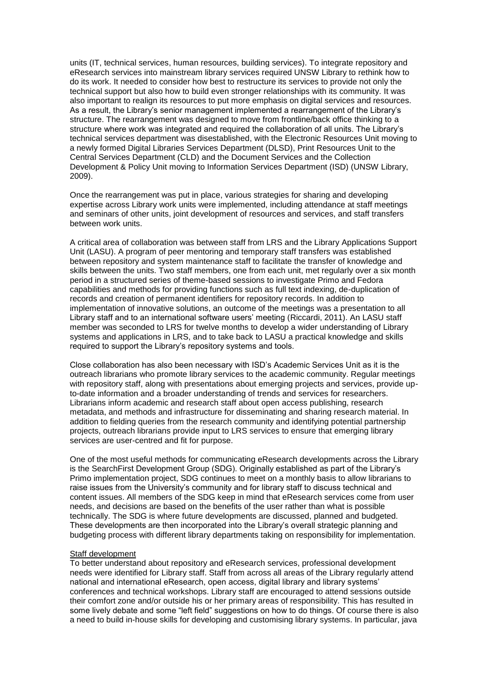units (IT, technical services, human resources, building services). To integrate repository and eResearch services into mainstream library services required UNSW Library to rethink how to do its work. It needed to consider how best to restructure its services to provide not only the technical support but also how to build even stronger relationships with its community. It was also important to realign its resources to put more emphasis on digital services and resources. As a result, the Library"s senior management implemented a rearrangement of the Library"s structure. The rearrangement was designed to move from frontline/back office thinking to a structure where work was integrated and required the collaboration of all units. The Library"s technical services department was disestablished, with the Electronic Resources Unit moving to a newly formed Digital Libraries Services Department (DLSD), Print Resources Unit to the Central Services Department (CLD) and the Document Services and the Collection Development & Policy Unit moving to Information Services Department (ISD) (UNSW Library, 2009).

Once the rearrangement was put in place, various strategies for sharing and developing expertise across Library work units were implemented, including attendance at staff meetings and seminars of other units, joint development of resources and services, and staff transfers between work units.

A critical area of collaboration was between staff from LRS and the Library Applications Support Unit (LASU). A program of peer mentoring and temporary staff transfers was established between repository and system maintenance staff to facilitate the transfer of knowledge and skills between the units. Two staff members, one from each unit, met regularly over a six month period in a structured series of theme-based sessions to investigate Primo and Fedora capabilities and methods for providing functions such as full text indexing, de-duplication of records and creation of permanent identifiers for repository records. In addition to implementation of innovative solutions, an outcome of the meetings was a presentation to all Library staff and to an international software users" meeting (Riccardi, 2011). An LASU staff member was seconded to LRS for twelve months to develop a wider understanding of Library systems and applications in LRS, and to take back to LASU a practical knowledge and skills required to support the Library's repository systems and tools.

Close collaboration has also been necessary with ISD"s Academic Services Unit as it is the outreach librarians who promote library services to the academic community. Regular meetings with repository staff, along with presentations about emerging projects and services, provide upto-date information and a broader understanding of trends and services for researchers. Librarians inform academic and research staff about open access publishing, research metadata, and methods and infrastructure for disseminating and sharing research material. In addition to fielding queries from the research community and identifying potential partnership projects, outreach librarians provide input to LRS services to ensure that emerging library services are user-centred and fit for purpose.

One of the most useful methods for communicating eResearch developments across the Library is the SearchFirst Development Group (SDG). Originally established as part of the Library"s Primo implementation project, SDG continues to meet on a monthly basis to allow librarians to raise issues from the University's community and for library staff to discuss technical and content issues. All members of the SDG keep in mind that eResearch services come from user needs, and decisions are based on the benefits of the user rather than what is possible technically. The SDG is where future developments are discussed, planned and budgeted. These developments are then incorporated into the Library"s overall strategic planning and budgeting process with different library departments taking on responsibility for implementation.

#### Staff development

To better understand about repository and eResearch services, professional development needs were identified for Library staff. Staff from across all areas of the Library regularly attend national and international eResearch, open access, digital library and library systems" conferences and technical workshops. Library staff are encouraged to attend sessions outside their comfort zone and/or outside his or her primary areas of responsibility. This has resulted in some lively debate and some "left field" suggestions on how to do things. Of course there is also a need to build in-house skills for developing and customising library systems. In particular, java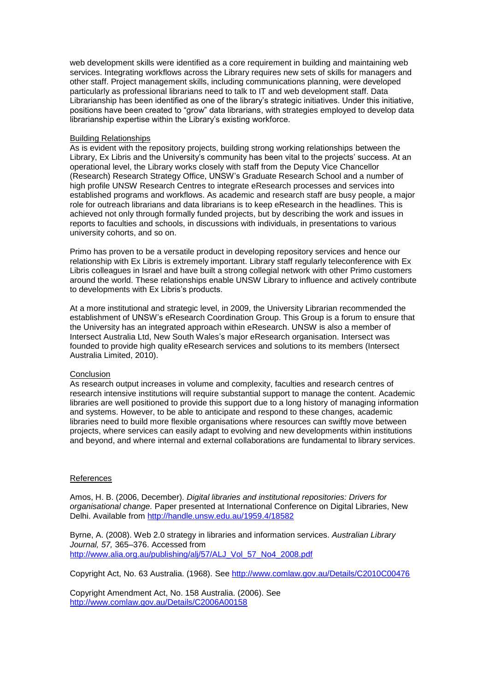web development skills were identified as a core requirement in building and maintaining web services. Integrating workflows across the Library requires new sets of skills for managers and other staff. Project management skills, including communications planning, were developed particularly as professional librarians need to talk to IT and web development staff. Data Librarianship has been identified as one of the library"s strategic initiatives. Under this initiative, positions have been created to "grow" data librarians, with strategies employed to develop data librarianship expertise within the Library"s existing workforce.

#### Building Relationships

As is evident with the repository projects, building strong working relationships between the Library, Ex Libris and the University's community has been vital to the projects' success. At an operational level, the Library works closely with staff from the Deputy Vice Chancellor (Research) Research Strategy Office, UNSW"s Graduate Research School and a number of high profile UNSW Research Centres to integrate eResearch processes and services into established programs and workflows. As academic and research staff are busy people, a major role for outreach librarians and data librarians is to keep eResearch in the headlines. This is achieved not only through formally funded projects, but by describing the work and issues in reports to faculties and schools, in discussions with individuals, in presentations to various university cohorts, and so on.

Primo has proven to be a versatile product in developing repository services and hence our relationship with Ex Libris is extremely important. Library staff regularly teleconference with Ex Libris colleagues in Israel and have built a strong collegial network with other Primo customers around the world. These relationships enable UNSW Library to influence and actively contribute to developments with Ex Libris's products.

At a more institutional and strategic level, in 2009, the University Librarian recommended the establishment of UNSW"s eResearch Coordination Group. This Group is a forum to ensure that the University has an integrated approach within eResearch. UNSW is also a member of Intersect Australia Ltd, New South Wales"s major eResearch organisation. Intersect was founded to provide high quality eResearch services and solutions to its members (Intersect Australia Limited, 2010).

## **Conclusion**

As research output increases in volume and complexity, faculties and research centres of research intensive institutions will require substantial support to manage the content. Academic libraries are well positioned to provide this support due to a long history of managing information and systems. However, to be able to anticipate and respond to these changes, academic libraries need to build more flexible organisations where resources can swiftly move between projects, where services can easily adapt to evolving and new developments within institutions and beyond, and where internal and external collaborations are fundamental to library services.

## **References**

Amos, H. B. (2006, December). *Digital libraries and institutional repositories: Drivers for organisational change.* Paper presented at International Conference on Digital Libraries, New Delhi. Available from<http://handle.unsw.edu.au/1959.4/18582>

Byrne, A. (2008). Web 2.0 strategy in libraries and information services. *Australian Library Journal, 57,* 365–376. Accessed from [http://www.alia.org.au/publishing/alj/57/ALJ\\_Vol\\_57\\_No4\\_2008.pdf](http://www.alia.org.au/publishing/alj/57/ALJ_Vol_57_No4_2008.pdf)

Copyright Act, No. 63 Australia. (1968). See [http://www.comlaw.gov.au/Details/C2010C00476](https://mail.unsw.edu.au/owa/redir.aspx?C=5415546c81ff4ef2934fdce5e643e754&URL=http%3a%2f%2fwww.comlaw.gov.au%2fDetails%2fC2010C00476)

Copyright Amendment Act, No. 158 Australia. (2006). See [http://www.comlaw.gov.au/Details/C2006A00158](https://mail.unsw.edu.au/owa/redir.aspx?C=5415546c81ff4ef2934fdce5e643e754&URL=http%3a%2f%2fwww.comlaw.gov.au%2fDetails%2fC2006A00158)